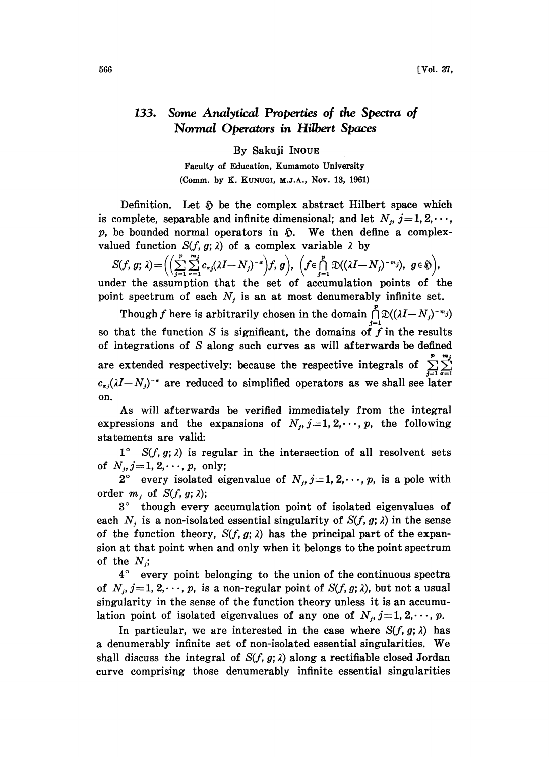## 133. Some Analytical Properties of the Spectra of Normal Operators in Hilbert Spaces

By Sakuji INOUE

Faculty of Education, Kumamoto University (Comm. by K. KUNUG, M.J.K., Nov. 13, 1961)

Definition. Let  $\mathfrak H$  be the complex abstract Hilbert space which is complete, separable and infinite dimensional; and let  $N_j$ ,  $j=1, 2, \dots$ ,  $p$ , be bounded normal operators in  $\tilde{p}$ . We then define a complexvalued function  $S(f, g; \lambda)$  of a complex variable  $\lambda$  by

 $S(f, g; \lambda) = \left( \left( \sum_{j=1}^p \sum_{\alpha=1}^{m_j} c_{\alpha j} (\lambda I - N_j)^{-\alpha} \right) f, g \right), \ \left( f \in \bigcap_{j=1}^p \mathfrak{D}((\lambda I - N_j)^{-m_j}), \ g \in \mathfrak{H} \right),$ under the assumption that the set of accumulation points of the point spectrum of each  $N_i$  is an at most denumerably infinite set.

Though f here is arbitrarily chosen in the domain  $\bigcap_{i=1}^{n} \mathfrak{D}((\lambda I-N_i)^{-m_i})$ so that the function S is significant, the domains of f in the results of integrations of  $S$  along such curves as will afterwards be defined are extended respectively: because the respective integrals of  $\sum_{j=1}^{\infty} \sum_{\alpha=1}^{\infty}$  $c_{\alpha i}(\lambda I-N_i)^{-\alpha}$  are reduced to simplified operators as we shall see later on.

As will afterwards be verified immediately from the integral expressions and the expansions of  $N_j$ ,  $j=1,2,\dots, p$ , the following statements are valid:

 $1^{\circ}$  S(f, g;  $\lambda$ ) is regular in the intersection of all resolvent sets of  $N_j$ ,  $j = 1, 2, \dots, p$ , only;

 $2^{\circ}$  every isolated eigenvalue of  $N_j$ ,  $j=1, 2, \dots, p$ , is a pole with order  $m_i$ , of  $S(f, g; \lambda)$ ;

3° though every accumulation point of isolated eigenvalues of each  $N_i$  is a non-isolated essential singularity of  $S(f, g; \lambda)$  in the sense of the function theory,  $S(f, g; \lambda)$  has the principal part of the expansion at that point when and only when it belongs to the point spectrum of the  $N_i$ ;

 $4^{\circ}$  every point belonging to the union of the continuous spectra of  $N_i$ ,  $j=1, 2, \dots, p$ , is a non-regular point of  $S(f, g; \lambda)$ , but not a usual singularity in the sense of the function theory unless it is an accumulation point of isolated eigenvalues of any one of  $N_i$ ,  $j=1, 2, \dots, p$ .

In particular, we are interested in the case where  $S(f, g; \lambda)$  has <sup>a</sup> denumerably infinite set of non-isolated essential singularities. We shall discuss the integral of  $S(f, g; \lambda)$  along a rectifiable closed Jordan curve comprising those denumerably infinite essential singularities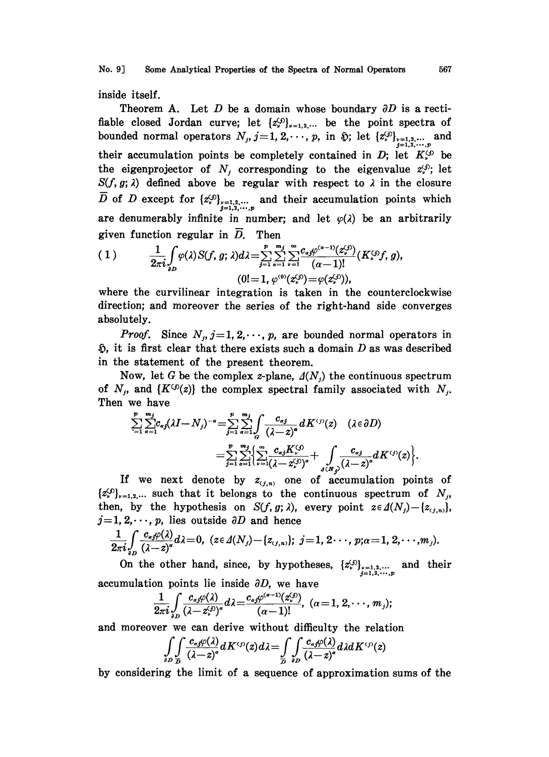No. 9] Some Analytical Properties of the Spectra of Normal Operators 567

inside itself.

Theorem A. Let D be a domain whose boundary  $\partial D$  is a rectifiable closed Jordan curve; let  $\{z_{\nu}^{(j)}\}_{\nu=1,2,...}$  be the point spectra of bounded normal operators  $N_j$ ,  $j=1,2,\cdots,p$ , in  $\tilde{v}$ ; let  $\{z_{\nu}^{(j)}\}_{\substack{j=1,2,\cdots,p\j=1}}$  and their accumulation points be completely contained in  $D$ ; let  $K_r^{(j)}$  be the eigenprojector of  $N_i$  corresponding to the eigenvalue  $z_i^{(j)}$ ; let  $S(f, g; \lambda)$  defined above be regular with respect to  $\lambda$  in the closure  $\overline{D}$  of D except for  $\{z_{\nu}^{(j)}\}_{\substack{j=1,2,\cdots,p\j=1,2,\cdots,p}}$  and their accumulation points which are denumerably infinite in number; and let  $\varphi(\lambda)$  be an arbitrarily given function regular in  $D$ . Then

(1) 
$$
\frac{1}{2\pi i} \int_{\partial D} \varphi(\lambda) S(f, g; \lambda) d\lambda = \sum_{j=1}^{p} \sum_{\alpha=1}^{m_j} \sum_{\nu=1}^{\infty} \frac{c_{\alpha j} \varphi^{(\alpha-1)}(z_{\nu}^{(j)})}{(\alpha-1)!} (K_{\nu}^{(j)} f, g),
$$
  
\n
$$
(0! = 1, \varphi^{(0)}(z_{\nu}^{(j)}) = \varphi(z_{\nu}^{(j)})),
$$

where the curvilinear integration is taken in the counterclockwise direction; and moreover the series of the right-hand side converges absolutely.

*Proof.* Since  $N_j$ ,  $j=1, 2, \dots, p$ , are bounded normal operators in  $\mathfrak{D}$ , it is first clear that there exists such a domain D as was described in the statement of the present theorem.

Now, let G be the complex z-plane,  $\Delta(N_i)$  the continuous spectrum of  $N_j$ , and  $\{K^{(j)}(z)\}$  the complex spectral family associated with  $N_j$ . Then we have

$$
\sum_{i=1}^{p} \sum_{\alpha=1}^{m_j} c_{\alpha j} (\lambda I - N_j)^{-\alpha} = \sum_{j=1}^{p} \sum_{\alpha=1}^{m_j} \int_{G} \frac{c_{\alpha j}}{(\lambda - z)^{\alpha}} dK^{(j)}(z) \quad (\lambda \in \partial D)
$$
  
= 
$$
\sum_{j=1}^{p} \sum_{\alpha=1}^{m_j} \left\{ \sum_{i=1}^{\infty} \frac{c_{\alpha j} K^{(j)}_{\nu}}{(\lambda - z^{(j)})^{\alpha}} + \int_{\Delta (N_j)} \frac{c_{\alpha j}}{(\lambda - z)^{\alpha}} dK^{(j)}(z) \right\}.
$$

If we next denote by  $z_{(j,n)}$  one of accumulation points of  $\{z_{\nu}^{(j)}\}_{\nu=1,2,...}$  such that it belongs to the continuous spectrum of  $N_j$ , then, by the hypothesis on  $S(f, g; \lambda)$ , every point  $z \in \Delta(N_j) - \{z_{(j,n)}\},$  $j=1, 2, \dots, p$ , lies outside  $\partial D$  and hence

$$
\frac{1}{2\pi i}\int\limits_{\partial D}\frac{c_{\alpha\beta}\varphi(\lambda)}{(\lambda-z)^{\alpha}}d\lambda=0, \ (z\in\Delta(N_j)-\{z_{(j,n)}\};\ j=1,\ 2\cdots,\ p;\alpha=1,\ 2,\cdots,m_j).
$$

On the other hand, since, by hypotheses,  $\{z_{\nu}^{(j)}\}_{\substack{\nu=1,2,\dots,p\j=1,2,\dots,p}}$  and their accumulation points lie inside  $\partial D$ , we have

$$
\frac{1}{2\pi i}\int\limits_{\partial D} \frac{c_{\alpha\beta}\varphi(\lambda)}{(\lambda-z^{(j)}_\nu)^{\alpha}}d\lambda=\frac{c_{\alpha\beta}\varphi^{(\alpha-1)}(z^{(j)}_\nu)}{(\alpha-1)!},\,\,(\alpha=1,\,2,\cdot\cdot\cdot,\,m_j);
$$

and moreover we can derive without difficulty the relation

$$
\int_{\partial D} \int_{\overline{D}} \frac{c_{\alpha\beta}\varphi(\lambda)}{(\lambda-z)^{\alpha}} dK^{(f)}(z) d\lambda = \int_{\overline{D}} \int_{\partial D} \frac{c_{\alpha\beta}\varphi(\lambda)}{(\lambda-z)^{\alpha}} d\lambda dK^{(f)}(z)
$$

by considering the limit of a sequence of approximation sums of the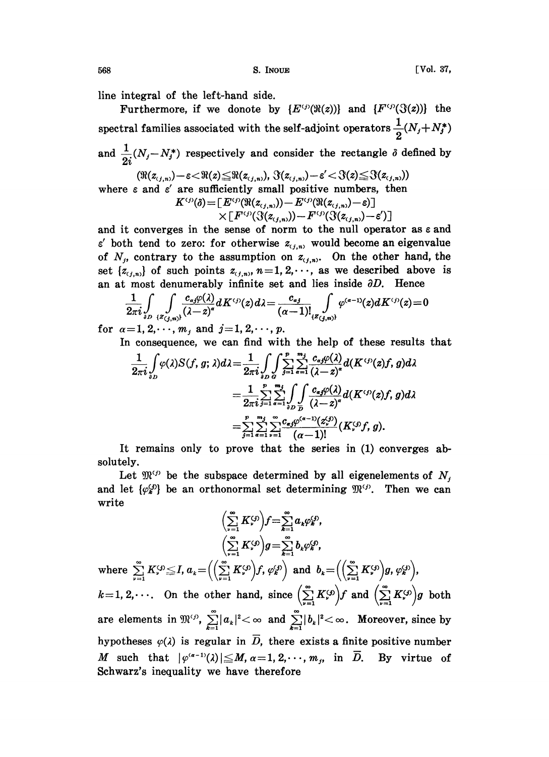568 [Vol. 37, S. INOUE ]

line integral of the left-hand side.

Furthermore, if we donote by  $\{E^{(j)}(\Re(z))\}$  and  $\{F^{(j)}(\Im(z))\}$  the spectral families associated with the self-adjoint operators  $\frac{1}{2}(N_f+N_f^*)$ and  $\frac{1}{\alpha} (N_j - N_j^*)$  respectively and consider the rectangle  $\delta$  defined by  $(\Re(z_{(j,n)})-\varepsilon\!<\!\Re(z)\!\leq\!\Re(z_{(j,n)}),\,\Im(z_{(j,n)})\!-\!\varepsilon'\!<\!\Im(z)\!\leq\!\Im(z_{(j,n)}))$ 

where  $\varepsilon$  and  $\varepsilon'$  are sufficiently small positive numbers, then  $K^{ij}$ 

$$
\begin{array}{c}\beta(\delta) = [E^{(j)}(\Re(z_{(j,n)})) - E^{(j)}(\Re(z_{(j,n)}) - \varepsilon)] \\
\times [F^{(j)}(\Im(z_{(j,n)})) - F^{(j)}(\Im(z_{(j,n)}) - \varepsilon')] \end{array}
$$

and it converges in the sense of norm to the null operator as  $\varepsilon$  and  $\varepsilon'$  both tend to zero: for otherwise  $z_{(i,n)}$  would become an eigenvalue of  $N_j$ , contrary to the assumption on  $z_{(j,n)}$ . On the other hand, the set  $\{z_{(j,n)}\}$  of such points  $z_{(j,n)}$ ,  $n=1, 2, \dots$ , as we described above is an at most denumerably infinite set and lies inside  $\partial D$ . Hence

$$
\frac{1}{2\pi i}\int\limits_{\partial D}\int\limits_{\{Z_{(j,n)\}}}\frac{c_{aj}\varphi(\lambda)}{(\lambda-z)^{\alpha}}dK^{(j)}(z)d\lambda=\frac{c_{aj}}{(\alpha-1)!}\int\limits_{\{Z_{(j,n)\}}}\varphi^{(\alpha-1)}(z)dK^{(j)}(z)=0
$$

for  $\alpha = 1, 2, \dots, m$ , and  $j = 1, 2, \dots, p$ .

In consequence, we can find with the help of these results that

$$
\frac{1}{2\pi i} \int_{\partial D} \varphi(\lambda) S(f, g; \lambda) d\lambda = \frac{1}{2\pi i} \int_{\partial D} \int_{\mathcal{G}} \sum_{j=1}^p \sum_{\alpha=1}^{m_j} \frac{c_{\alpha j} \varphi(\lambda)}{(\lambda - z)^{\alpha}} d(K^{(j)}(z) f, g) d\lambda
$$

$$
= \frac{1}{2\pi i} \sum_{j=1}^p \sum_{\alpha=1}^{m_j} \int_{\partial D} \int_{\mathcal{D}} \frac{c_{\alpha j} \varphi(\lambda)}{(\lambda - z)^{\alpha}} d(K^{(j)}(z) f, g) d\lambda
$$

$$
= \sum_{j=1}^p \sum_{\alpha=1}^{m_j} \sum_{\nu=1}^{\infty} \frac{c_{\alpha j} \varphi^{(\alpha-1)}(z_{\nu}^{(j)})}{(\alpha - 1)!} (K_{\nu}^{(j)} f, g).
$$

It remains only to prove that the series in (1) converges absolutely.

Let  $\mathfrak{M}^{(j)}$  be the subspace determined by all eigenelements of  $N_j$ and let  $\{\varphi_k^{(j)}\}$  be an orthonormal set determining  $\mathfrak{M}^{(j)}$ . Then we can write

$$
\left(\sum_{\nu=1}^{\infty} K_{\nu}^{(j)}\right) f = \sum_{k=1}^{\infty} a_k \varphi_k^{(j)},
$$
\n
$$
\left(\sum_{\nu=1}^{\infty} K_{\nu}^{(j)}\right) g = \sum_{k=1}^{\infty} b_k \varphi_k^{(j)},
$$
\nwhere  $\sum_{\nu=1}^{\infty} K_{\nu}^{(j)} \leq I$ ,  $a_k = \left(\left(\sum_{\nu=1}^{\infty} K_{\nu}^{(j)}\right) f$ ,  $\varphi_k^{(j)}\right)$  and  $b_k = \left(\left(\sum_{\nu=1}^{\infty} K_{\nu}^{(j)}\right) g$ ,  $\varphi_k^{(j)}\right)$ ,  
\n $k = 1, 2, \cdots$  On the other hand, since  $\left(\sum_{\nu=1}^{\infty} K_{\nu}^{(j)}\right) f$  and  $\left(\sum_{\nu=1}^{\infty} K_{\nu}^{(j)}\right) g$  both  
\nare elements in  $\mathfrak{M}^{(j)}$ ,  $\sum_{k=1}^{\infty} |a_k|^2 < \infty$  and  $\sum_{k=1}^{\infty} |b_k|^2 < \infty$ . Moreover, since by  
\nhypotheses  $\varphi(\lambda)$  is regular in  $\overline{D}$ , there exists a finite positive number  
\nM such that  $|\varphi^{(\alpha-1)}(\lambda)| \leq M$ ,  $\alpha = 1, 2, \cdots, m_j$ , in  $\overline{D}$ . By virtue of  
\nSchwarz's inequality we have therefore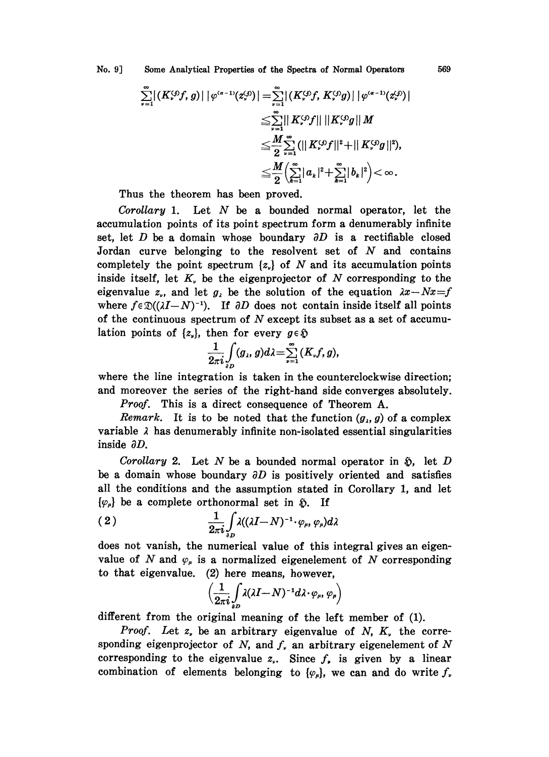No. 9] Some Analytical Properties of the Spectra of Normal Operators 569

$$
\sum_{\nu=1}^{\infty} |(K_{\nu}^{\zeta j}f, g)| |\varphi^{\zeta \sigma - 1}(z_{\nu}^{\zeta j)}| = \sum_{\nu=1}^{\infty} |(K_{\nu}^{\zeta j}f, K_{\nu}^{\zeta j}g)| |\varphi^{\zeta \sigma - 1}(z_{\nu}^{\zeta j)}|
$$
  

$$
\leq \sum_{\nu=1}^{\infty} ||K_{\nu}^{\zeta j}f|| ||K_{\nu}^{\zeta j}g||M
$$
  

$$
\leq \frac{M}{2} \sum_{\nu=1}^{\infty} (||K_{\nu}^{\zeta j}f||^{2} + ||K_{\nu}^{\zeta j}g||^{2}),
$$
  

$$
\leq \frac{M}{2} (\sum_{k=1}^{\infty} |a_{k}|^{2} + \sum_{k=1}^{\infty} |b_{k}|^{2}) < \infty.
$$

Thus the theorem has been proved.

Corollary 1. Let  $N$  be a bounded normal operator, let the accumulation points of its point spectrum form a denumerably infinite set, let  $D$  be a domain whose boundary  $\partial D$  is a rectifiable closed Jordan curve belonging to the resolvent set of  $N$  and contains completely the point spectrum  $\{z_n\}$  of N and its accumulation points inside itself, let  $K<sub>r</sub>$  be the eigenprojector of N corresponding to the eigenvalue  $z_n$ , and let  $g_n$  be the solution of the equation  $\lambda x - Nx = f$ where  $f \in \mathfrak{D}((\lambda I-N)^{-1})$ . If  $\partial D$  does not contain inside itself all points of the continuous spectrum of  $N$  except its subset as a set of accumulation points of  $\{z_{\nu}\}\)$ , then for every  $g \in \mathfrak{H}$ 

$$
\frac{1}{2\pi i}\int\limits_{\partial D}(g_{\lambda},g)d\lambda=\sum\limits_{\nu=1}^{\infty}(K_{\nu}f,g),
$$

where the line integration is taken in the counterclockwise direction; and moreover the series of the right-hand side converges absolutely.

Proof. This is a direct consequence of Theorem A.

*Remark*. It is to be noted that the function  $(g_i, g)$  of a complex variable  $\lambda$  has denumerably infinite non-isolated essential singularities inside  $\partial D$ .

Corollary 2. Let N be a bounded normal operator in  $\mathfrak{H}$ , let D be a domain whose boundary  $\partial D$  is positively oriented and satisfies all the conditions and the assumption stated in Corollary 1, and let  $\{\varphi_n\}$  be a complete orthonormal set in  $\tilde{\varphi}$ . If

$$
(2) \qquad \qquad \frac{1}{2\pi i}\int\limits_{\partial D}\lambda((\lambda I-N)^{-1}\cdot\varphi_{\mu},\varphi_{\mu})d\lambda
$$

does not vanish, the numerical value of this integral gives an eigenvalue of N and  $\varphi_{\mu}$  is a normalized eigenelement of N corresponding to that eigenvalue. (2) here means, however,

$$
\Big(\frac{1}{2\pi i}\int\limits_{\partial D}\lambda(\lambda I-N)^{-1}d\lambda\cdot\varphi_{\mu},\varphi_{\mu}\Big)
$$

different from the original meaning of the left member of (1).

Proof. Let  $z$ , be an arbitrary eigenvalue of  $N$ ,  $K$ , the corresponding eigenprojector of  $N$ , and  $f<sub>r</sub>$  an arbitrary eigenelement of  $N$ corresponding to the eigenvalue  $z<sub>r</sub>$ . Since f, is given by a linear combination of elements belonging to  $\{\varphi_{\mu}\}\)$ , we can and do write  $f_{\nu}$